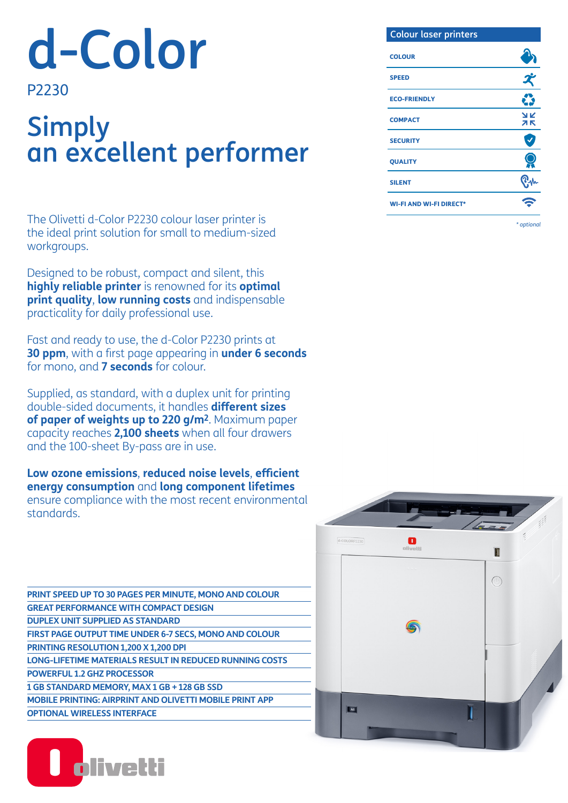# d-Color

### P2230

# Simply an excellent performer

The Olivetti d-Color P2230 colour laser printer is the ideal print solution for small to medium-sized workgroups.

Designed to be robust, compact and silent, this **highly reliable printer** is renowned for its **optimal print quality**, **low running costs** and indispensable practicality for daily professional use.

Fast and ready to use, the d-Color P2230 prints at **30 ppm**, with a first page appearing in **under 6 seconds** for mono, and **7 seconds** for colour.

Supplied, as standard, with a duplex unit for printing double-sided documents, it handles **different sizes of paper of weights up to 220 g/m2**. Maximum paper capacity reaches **2,100 sheets** when all four drawers and the 100-sheet By-pass are in use.

**Low ozone emissions**, **reduced noise levels**, **efficient energy consumption** and **long component lifetimes**  ensure compliance with the most recent environmental standards.

**PRINT SPEED UP TO 30 PAGES PER MINUTE, MONO AND COLOUR GREAT PERFORMANCE WITH COMPACT DESIGN DUPLEX UNIT SUPPLIED AS STANDARD FIRST PAGE OUTPUT TIME UNDER 6-7 SECS, MONO AND COLOUR PRINTING RESOLUTION 1,200 X 1,200 DPI LONG-LIFETIME MATERIALS RESULT IN REDUCED RUNNING COSTS POWERFUL 1.2 GHZ PROCESSOR 1 GB STANDARD MEMORY, MAX 1 GB + 128 GB SSD MOBILE PRINTING: AIRPRINT AND OLIVETTI MOBILE PRINT APP OPTIONAL WIRELESS INTERFACE**



# Colour laser printers **COLOUR** SPEED ECO-FRIENDLY



*\* optional*